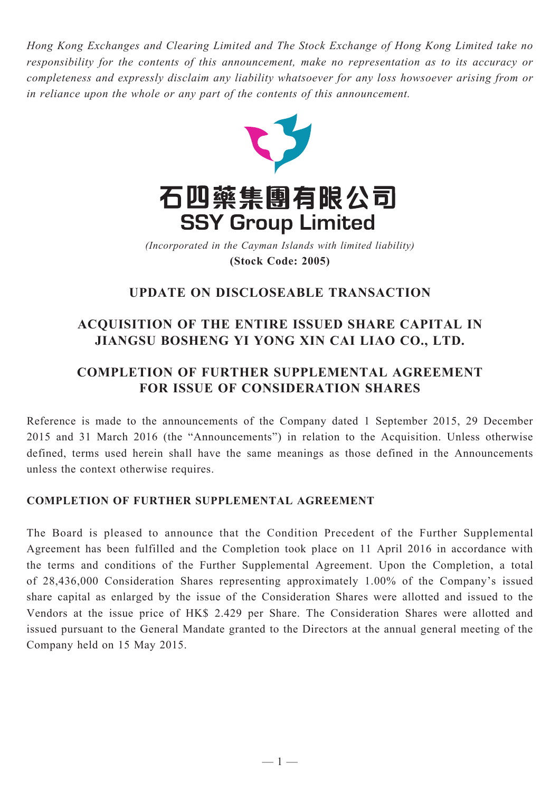*Hong Kong Exchanges and Clearing Limited and The Stock Exchange of Hong Kong Limited take no responsibility for the contents of this announcement, make no representation as to its accuracy or completeness and expressly disclaim any liability whatsoever for any loss howsoever arising from or in reliance upon the whole or any part of the contents of this announcement.*



**(Stock Code: 2005)** *(Incorporated in the Cayman Islands with limited liability)* 

### **Update ON DISCLOSEABLE TRANSACTION**

# **ACQUISITION OF THE ENTIRE ISSUED SHARE CAPITAL IN JIANGSU BOSHENG YI YONG XIN CAI LIAO CO., LTD.**

# **COMPLETION OF FURTHER SUPPLEMENTAL AGREEMENT FOR ISSUE OF CONSIDERATION SHARES**

Reference is made to the announcements of the Company dated 1 September 2015, 29 December 2015 and 31 March 2016 (the "Announcements") in relation to the Acquisition. Unless otherwise defined, terms used herein shall have the same meanings as those defined in the Announcements unless the context otherwise requires.

#### **COMPLETION OF FURTHER SUPPLEMENTAL AGREEMENT**

The Board is pleased to announce that the Condition Precedent of the Further Supplemental Agreement has been fulfilled and the Completion took place on 11 April 2016 in accordance with the terms and conditions of the Further Supplemental Agreement. Upon the Completion, a total of 28,436,000 Consideration Shares representing approximately 1.00% of the Company's issued share capital as enlarged by the issue of the Consideration Shares were allotted and issued to the Vendors at the issue price of HK\$ 2.429 per Share. The Consideration Shares were allotted and issued pursuant to the General Mandate granted to the Directors at the annual general meeting of the Company held on 15 May 2015.